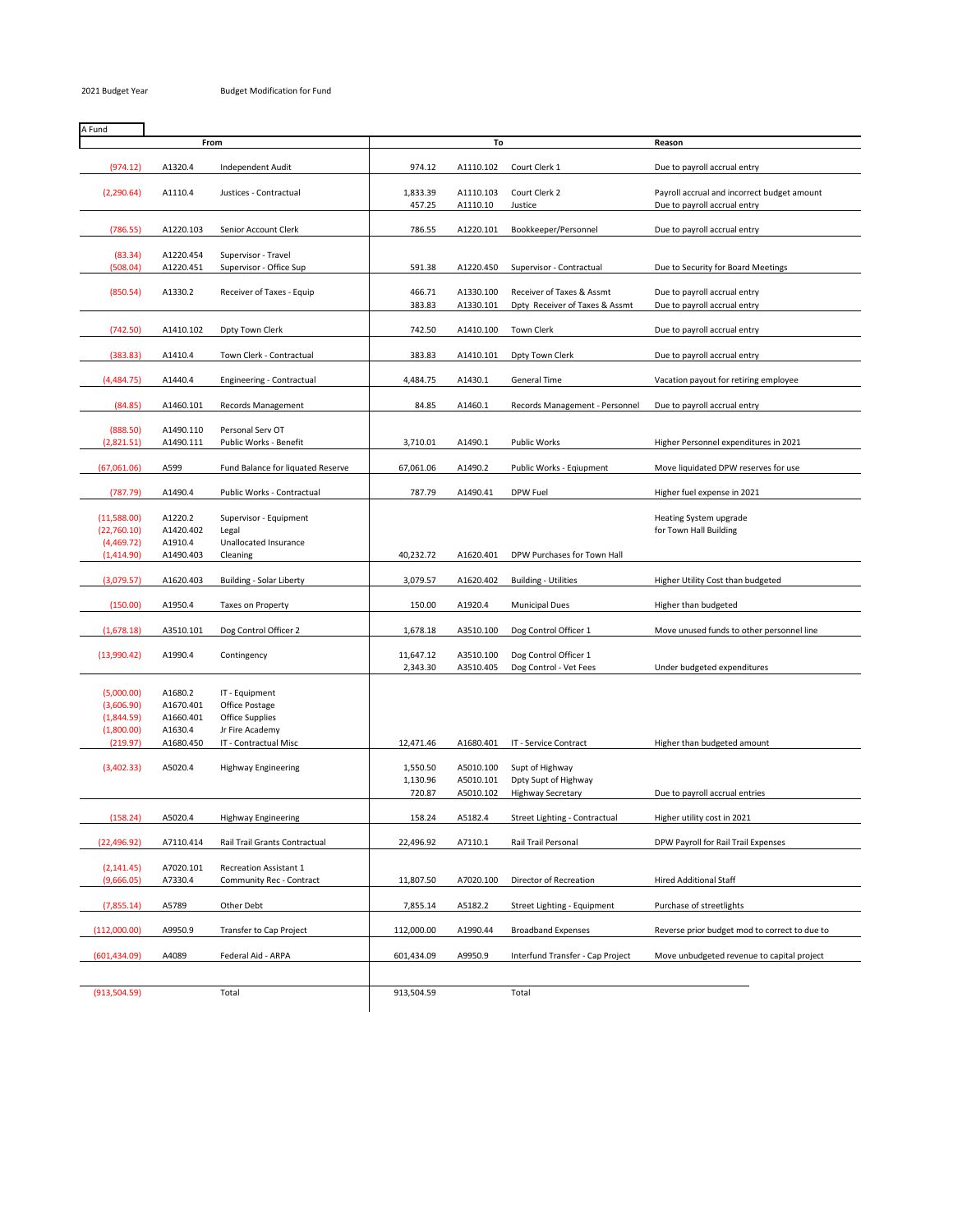| A Fund        |           |                                   |            |           |                                  |                                               |
|---------------|-----------|-----------------------------------|------------|-----------|----------------------------------|-----------------------------------------------|
|               |           | From                              | To         |           |                                  | Reason                                        |
|               |           |                                   |            |           |                                  |                                               |
| (974.12)      | A1320.4   | <b>Independent Audit</b>          | 974.12     | A1110.102 | Court Clerk 1                    | Due to payroll accrual entry                  |
|               |           |                                   |            |           |                                  |                                               |
| (2, 290.64)   | A1110.4   | Justices - Contractual            | 1,833.39   | A1110.103 | Court Clerk 2                    | Payroll accrual and incorrect budget amount   |
|               |           |                                   | 457.25     | A1110.10  | Justice                          | Due to payroll accrual entry                  |
|               |           |                                   |            |           |                                  |                                               |
| (786.55)      | A1220.103 | Senior Account Clerk              | 786.55     | A1220.101 | Bookkeeper/Personnel             | Due to payroll accrual entry                  |
|               |           |                                   |            |           |                                  |                                               |
| (83.34)       | A1220.454 | Supervisor - Travel               |            |           |                                  |                                               |
| (508.04)      | A1220.451 | Supervisor - Office Sup           | 591.38     | A1220.450 | Supervisor - Contractual         | Due to Security for Board Meetings            |
|               |           |                                   |            |           |                                  |                                               |
| (850.54)      | A1330.2   | Receiver of Taxes - Equip         | 466.71     | A1330.100 | Receiver of Taxes & Assmt        | Due to payroll accrual entry                  |
|               |           |                                   | 383.83     | A1330.101 | Dpty Receiver of Taxes & Assmt   | Due to payroll accrual entry                  |
| (742.50)      | A1410.102 |                                   | 742.50     | A1410.100 | <b>Town Clerk</b>                |                                               |
|               |           | Dpty Town Clerk                   |            |           |                                  | Due to payroll accrual entry                  |
| (383.83)      | A1410.4   | Town Clerk - Contractual          | 383.83     | A1410.101 | Dpty Town Clerk                  | Due to payroll accrual entry                  |
|               |           |                                   |            |           |                                  |                                               |
| (4,484.75)    | A1440.4   | Engineering - Contractual         | 4,484.75   | A1430.1   | General Time                     | Vacation payout for retiring employee         |
|               |           |                                   |            |           |                                  |                                               |
| (84.85)       | A1460.101 | Records Management                | 84.85      | A1460.1   | Records Management - Personnel   | Due to payroll accrual entry                  |
|               |           |                                   |            |           |                                  |                                               |
| (888.50)      | A1490.110 | Personal Serv OT                  |            |           |                                  |                                               |
| (2,821.51)    | A1490.111 | Public Works - Benefit            | 3,710.01   | A1490.1   | <b>Public Works</b>              | Higher Personnel expenditures in 2021         |
|               |           |                                   |            |           |                                  |                                               |
| (67,061.06)   | A599      | Fund Balance for liquated Reserve | 67,061.06  | A1490.2   | Public Works - Eqiupment         | Move liquidated DPW reserves for use          |
|               |           |                                   |            |           |                                  |                                               |
| (787.79)      | A1490.4   | Public Works - Contractual        | 787.79     | A1490.41  | DPW Fuel                         | Higher fuel expense in 2021                   |
|               |           |                                   |            |           |                                  |                                               |
| (11,588.00)   | A1220.2   | Supervisor - Equipment            |            |           |                                  | Heating System upgrade                        |
| (22,760.10)   | A1420.402 | Legal                             |            |           |                                  | for Town Hall Building                        |
| (4,469.72)    | A1910.4   | Unallocated Insurance             |            |           |                                  |                                               |
| (1,414.90)    | A1490.403 | Cleaning                          | 40,232.72  | A1620.401 | DPW Purchases for Town Hall      |                                               |
|               |           |                                   |            |           |                                  |                                               |
| (3,079.57)    | A1620.403 | Building - Solar Liberty          | 3,079.57   | A1620.402 | <b>Building - Utilities</b>      | Higher Utility Cost than budgeted             |
|               |           |                                   |            |           |                                  |                                               |
| (150.00)      | A1950.4   | Taxes on Property                 | 150.00     | A1920.4   | <b>Municipal Dues</b>            | Higher than budgeted                          |
|               | A3510.101 |                                   |            | A3510.100 | Dog Control Officer 1            |                                               |
| (1,678.18)    |           | Dog Control Officer 2             | 1,678.18   |           |                                  | Move unused funds to other personnel line     |
| (13,990.42)   | A1990.4   | Contingency                       | 11,647.12  | A3510.100 | Dog Control Officer 1            |                                               |
|               |           |                                   | 2,343.30   | A3510.405 | Dog Control - Vet Fees           | Under budgeted expenditures                   |
|               |           |                                   |            |           |                                  |                                               |
| (5,000.00)    | A1680.2   | IT - Equipment                    |            |           |                                  |                                               |
| (3,606.90)    | A1670.401 | Office Postage                    |            |           |                                  |                                               |
| (1,844.59)    | A1660.401 | <b>Office Supplies</b>            |            |           |                                  |                                               |
| (1,800.00)    | A1630.4   | Jr Fire Academy                   |            |           |                                  |                                               |
| (219.97)      | A1680.450 | IT - Contractual Misc             | 12,471.46  | A1680.401 | IT - Service Contract            | Higher than budgeted amount                   |
|               |           |                                   |            |           |                                  |                                               |
| (3,402.33)    | A5020.4   | <b>Highway Engineering</b>        | 1,550.50   | A5010.100 | Supt of Highway                  |                                               |
|               |           |                                   | 1,130.96   | A5010.101 | Dpty Supt of Highway             |                                               |
|               |           |                                   | 720.87     | A5010.102 | <b>Highway Secretary</b>         | Due to payroll accrual entries                |
|               |           |                                   |            |           |                                  |                                               |
| (158.24)      | A5020.4   | Highway Engineering               | 158.24     | A5182.4   | Street Lighting - Contractual    | Higher utility cost in 2021                   |
|               |           |                                   |            |           |                                  |                                               |
| (22, 496.92)  | A7110.414 | Rail Trail Grants Contractual     | 22,496.92  | A7110.1   | Rail Trail Personal              | DPW Payroll for Rail Trail Expenses           |
|               |           |                                   |            |           |                                  |                                               |
| (2, 141.45)   | A7020.101 | Recreation Assistant 1            |            |           |                                  |                                               |
| (9,666.05)    | A7330.4   | Community Rec - Contract          | 11,807.50  | A7020.100 | Director of Recreation           | <b>Hired Additional Staff</b>                 |
|               |           |                                   |            |           |                                  |                                               |
| (7,855.14)    | A5789     | Other Debt                        | 7,855.14   | A5182.2   | Street Lighting - Equipment      | Purchase of streetlights                      |
|               |           |                                   |            |           |                                  |                                               |
| (112,000.00)  | A9950.9   | <b>Transfer to Cap Project</b>    | 112,000.00 | A1990.44  | <b>Broadband Expenses</b>        | Reverse prior budget mod to correct to due to |
|               |           |                                   |            |           |                                  |                                               |
| (601, 434.09) | A4089     | Federal Aid - ARPA                | 601,434.09 | A9950.9   | Interfund Transfer - Cap Project | Move unbudgeted revenue to capital project    |
|               |           |                                   |            |           |                                  |                                               |
| (913, 504.59) |           | Total                             | 913,504.59 |           | Total                            |                                               |
|               |           |                                   |            |           |                                  |                                               |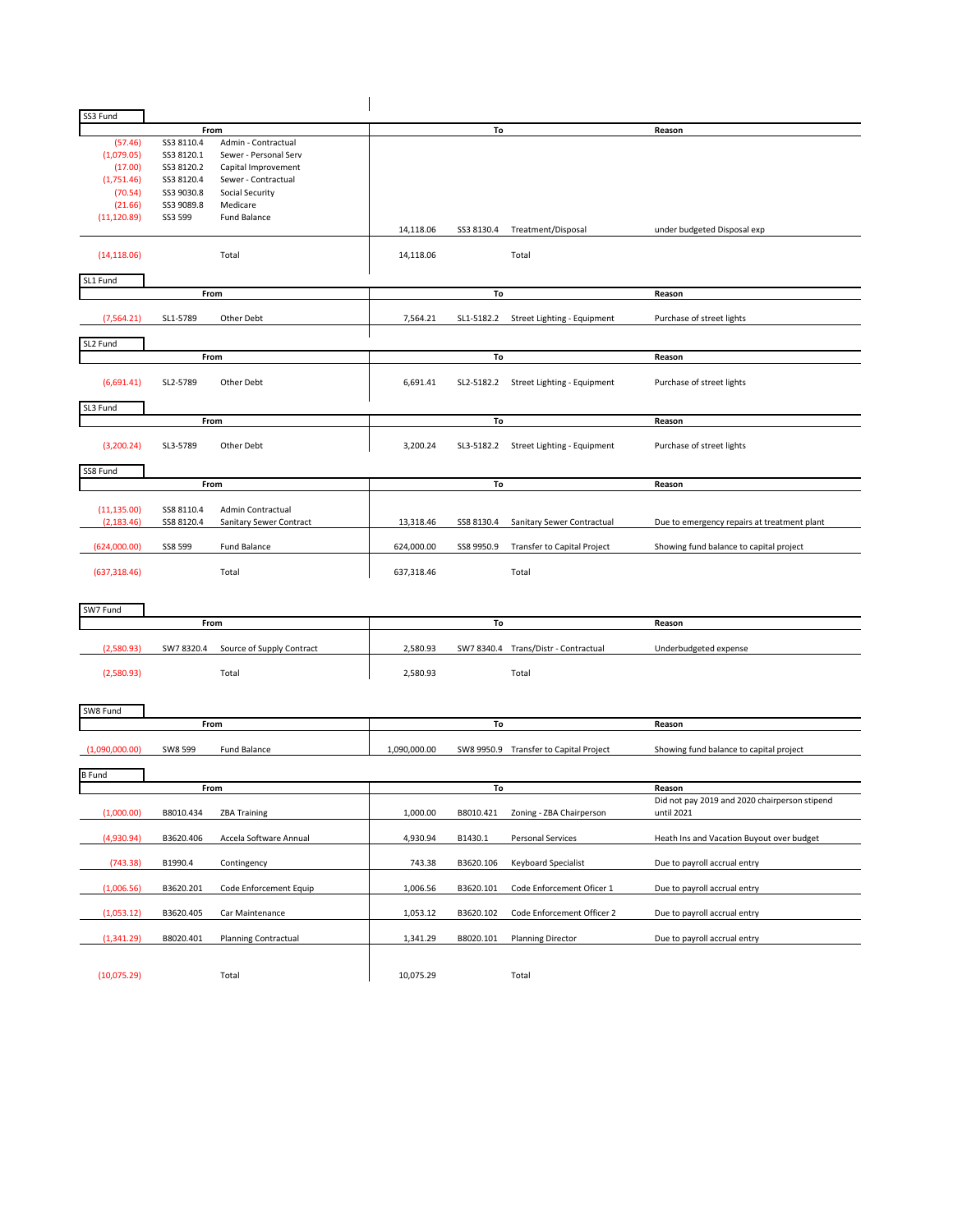| SS3 Fund       |            |                           |              |            |                                        |                                               |
|----------------|------------|---------------------------|--------------|------------|----------------------------------------|-----------------------------------------------|
|                |            | From                      |              | To         |                                        | Reason                                        |
| (57.46)        | SS3 8110.4 | Admin - Contractual       |              |            |                                        |                                               |
| (1,079.05)     | SS3 8120.1 | Sewer - Personal Serv     |              |            |                                        |                                               |
| (17.00)        | SS3 8120.2 | Capital Improvement       |              |            |                                        |                                               |
| (1,751.46)     | SS3 8120.4 | Sewer - Contractual       |              |            |                                        |                                               |
| (70.54)        | SS3 9030.8 | Social Security           |              |            |                                        |                                               |
| (21.66)        | SS3 9089.8 | Medicare                  |              |            |                                        |                                               |
| (11, 120.89)   | SS3 599    | Fund Balance              |              |            |                                        |                                               |
|                |            |                           | 14,118.06    | SS3 8130.4 | Treatment/Disposal                     | under budgeted Disposal exp                   |
| (14, 118.06)   |            | Total                     | 14,118.06    |            | Total                                  |                                               |
|                |            |                           |              |            |                                        |                                               |
| SL1 Fund       |            |                           |              |            |                                        |                                               |
|                |            | From                      |              | To         |                                        | Reason                                        |
| (7, 564.21)    | SL1-5789   | Other Debt                | 7,564.21     | SL1-5182.2 | Street Lighting - Equipment            | Purchase of street lights                     |
|                |            |                           |              |            |                                        |                                               |
| SL2 Fund       |            |                           |              |            |                                        |                                               |
|                | From       |                           |              | To         |                                        | Reason                                        |
| (6,691.41)     | SL2-5789   | Other Debt                | 6,691.41     |            | SL2-5182.2 Street Lighting - Equipment | Purchase of street lights                     |
| SL3 Fund       |            |                           |              |            |                                        |                                               |
|                | From       |                           |              | To         |                                        | Reason                                        |
|                |            |                           |              |            |                                        |                                               |
| (3,200.24)     | SL3-5789   | Other Debt                | 3,200.24     |            | SL3-5182.2 Street Lighting - Equipment | Purchase of street lights                     |
|                |            |                           |              |            |                                        |                                               |
| SS8 Fund       |            |                           |              |            |                                        |                                               |
|                |            | From                      | To           |            |                                        | Reason                                        |
|                |            |                           |              |            |                                        |                                               |
| (11, 135.00)   | SS8 8110.4 | Admin Contractual         |              |            |                                        |                                               |
| (2, 183.46)    | SS8 8120.4 | Sanitary Sewer Contract   | 13,318.46    | SS8 8130.4 | Sanitary Sewer Contractual             | Due to emergency repairs at treatment plant   |
|                |            |                           |              |            |                                        |                                               |
| (624,000.00)   | SS8 599    | <b>Fund Balance</b>       | 624,000.00   | SS8 9950.9 | Transfer to Capital Project            | Showing fund balance to capital project       |
|                |            |                           |              |            |                                        |                                               |
| (637, 318.46)  |            | Total                     | 637,318.46   |            | Total                                  |                                               |
|                |            |                           |              |            |                                        |                                               |
|                |            |                           |              |            |                                        |                                               |
| SW7 Fund       |            |                           |              |            |                                        |                                               |
|                |            | From                      |              | To         |                                        | Reason                                        |
|                |            |                           |              |            |                                        |                                               |
| (2,580.93)     | SW7 8320.4 | Source of Supply Contract | 2,580.93     |            | SW7 8340.4 Trans/Distr - Contractual   | Underbudgeted expense                         |
|                |            |                           |              |            |                                        |                                               |
| (2,580.93)     |            | Total                     | 2,580.93     |            | Total                                  |                                               |
|                |            |                           |              |            |                                        |                                               |
|                |            |                           |              |            |                                        |                                               |
| SW8 Fund       |            |                           |              |            |                                        |                                               |
|                | From       |                           |              | To         |                                        | Reason                                        |
|                |            |                           |              |            |                                        |                                               |
| (1,090,000.00) | SW8 599    | Fund Balance              | 1,090,000.00 |            | SW8 9950.9 Transfer to Capital Project | Showing fund balance to capital project       |
|                |            |                           |              |            |                                        |                                               |
| <b>B</b> Fund  |            |                           |              |            |                                        |                                               |
|                | From       |                           |              | To         |                                        | Reason                                        |
|                |            |                           |              |            |                                        | Did not pay 2019 and 2020 chairperson stipend |
| (1,000.00)     | B8010.434  | <b>ZBA Training</b>       | 1,000.00     | B8010.421  | Zoning - ZBA Chairperson               | until 2021                                    |
|                |            |                           |              |            |                                        |                                               |
| (4,930.94)     | B3620.406  | Accela Software Annual    | 4,930.94     | B1430.1    | Personal Services                      | Heath Ins and Vacation Buyout over budget     |
|                |            |                           |              |            |                                        |                                               |
| (743.38)       | B1990.4    | Contingency               | 743.38       | B3620.106  | <b>Keyboard Specialist</b>             | Due to payroll accrual entry                  |
|                |            |                           |              |            |                                        |                                               |
| (1,006.56)     | B3620.201  | Code Enforcement Equip    | 1,006.56     | B3620.101  | Code Enforcement Oficer 1              | Due to payroll accrual entry                  |
|                |            |                           |              |            |                                        |                                               |
| (1,053.12)     | B3620.405  | Car Maintenance           | 1,053.12     | B3620.102  | Code Enforcement Officer 2             | Due to payroll accrual entry                  |
|                |            |                           |              |            |                                        |                                               |
| (1,341.29)     | B8020.401  | Planning Contractual      | 1,341.29     | B8020.101  | Planning Director                      | Due to payroll accrual entry                  |
|                |            |                           |              |            |                                        |                                               |
|                |            |                           |              |            |                                        |                                               |
| (10,075.29)    |            | Total                     | 10,075.29    |            | Total                                  |                                               |